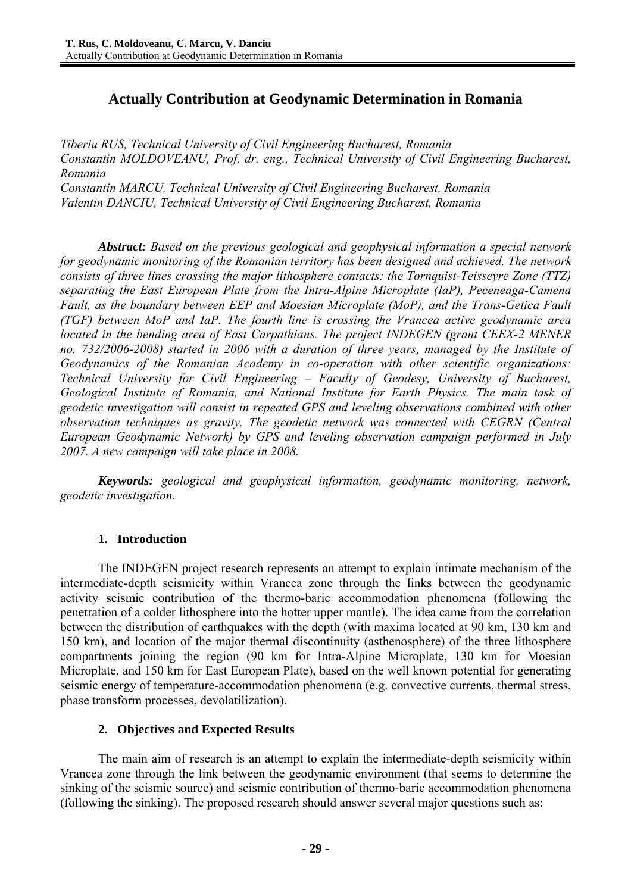# **Actually Contribution at Geodynamic Determination in Romania**

*Tiberiu RUS, Technical University of Civil Engineering Bucharest, Romania Constantin MOLDOVEANU, Prof. dr. eng., Technical University of Civil Engineering Bucharest, Romania Constantin MARCU, Technical University of Civil Engineering Bucharest, Romania Valentin DANCIU, Technical University of Civil Engineering Bucharest, Romania* 

*Abstract: Based on the previous geological and geophysical information a special network for geodynamic monitoring of the Romanian territory has been designed and achieved. The network consists of three lines crossing the major lithosphere contacts: the Tornquist-Teisseyre Zone (TTZ) separating the East European Plate from the Intra-Alpine Microplate (IaP), Peceneaga-Camena Fault, as the boundary between EEP and Moesian Microplate (MoP), and the Trans-Getica Fault (TGF) between MoP and IaP. The fourth line is crossing the Vrancea active geodynamic area located in the bending area of East Carpathians. The project INDEGEN (grant CEEX-2 MENER no. 732/2006-2008) started in 2006 with a duration of three years, managed by the Institute of Geodynamics of the Romanian Academy in co-operation with other scientific organizations: Technical University for Civil Engineering – Faculty of Geodesy, University of Bucharest, Geological Institute of Romania, and National Institute for Earth Physics. The main task of geodetic investigation will consist in repeated GPS and leveling observations combined with other observation techniques as gravity. The geodetic network was connected with CEGRN (Central European Geodynamic Network) by GPS and leveling observation campaign performed in July 2007. A new campaign will take place in 2008.* 

*Keywords: geological and geophysical information, geodynamic monitoring, network, geodetic investigation.* 

## **1. Introduction**

The INDEGEN project research represents an attempt to explain intimate mechanism of the intermediate-depth seismicity within Vrancea zone through the links between the geodynamic activity seismic contribution of the thermo-baric accommodation phenomena (following the penetration of a colder lithosphere into the hotter upper mantle). The idea came from the correlation between the distribution of earthquakes with the depth (with maxima located at 90 km, 130 km and 150 km), and location of the major thermal discontinuity (asthenosphere) of the three lithosphere compartments joining the region (90 km for Intra-Alpine Microplate, 130 km for Moesian Microplate, and 150 km for East European Plate), based on the well known potential for generating seismic energy of temperature-accommodation phenomena (e.g. convective currents, thermal stress, phase transform processes, devolatilization).

## **2. Objectives and Expected Results**

The main aim of research is an attempt to explain the intermediate-depth seismicity within Vrancea zone through the link between the geodynamic environment (that seems to determine the sinking of the seismic source) and seismic contribution of thermo-baric accommodation phenomena (following the sinking). The proposed research should answer several major questions such as: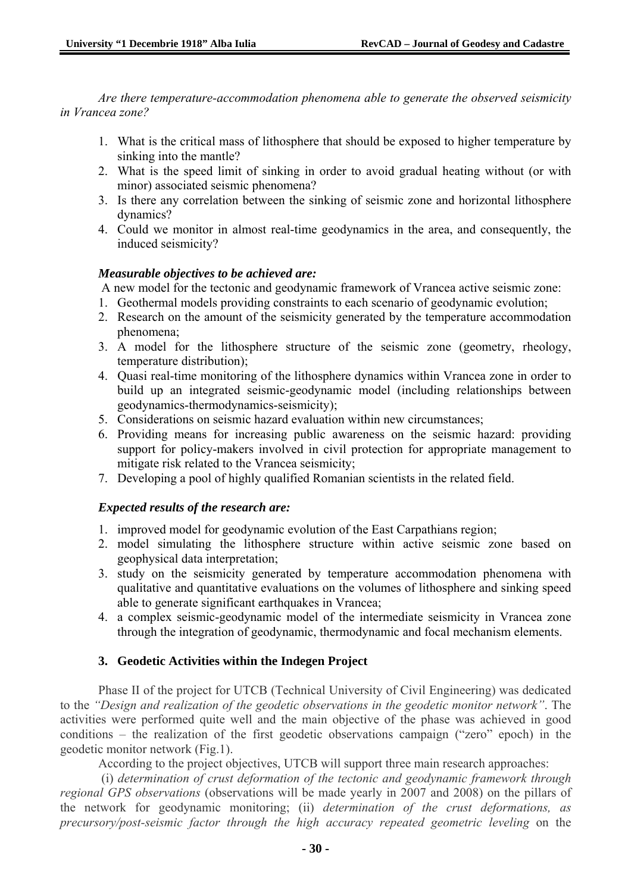*Are there temperature-accommodation phenomena able to generate the observed seismicity in Vrancea zone?* 

- 1. What is the critical mass of lithosphere that should be exposed to higher temperature by sinking into the mantle?
- 2. What is the speed limit of sinking in order to avoid gradual heating without (or with minor) associated seismic phenomena?
- 3. Is there any correlation between the sinking of seismic zone and horizontal lithosphere dynamics?
- 4. Could we monitor in almost real-time geodynamics in the area, and consequently, the induced seismicity?

## *Measurable objectives to be achieved are:*

A new model for the tectonic and geodynamic framework of Vrancea active seismic zone:

- 1. Geothermal models providing constraints to each scenario of geodynamic evolution;
- 2. Research on the amount of the seismicity generated by the temperature accommodation phenomena;
- 3. A model for the lithosphere structure of the seismic zone (geometry, rheology, temperature distribution);
- 4. Quasi real-time monitoring of the lithosphere dynamics within Vrancea zone in order to build up an integrated seismic-geodynamic model (including relationships between geodynamics-thermodynamics-seismicity);
- 5. Considerations on seismic hazard evaluation within new circumstances;
- 6. Providing means for increasing public awareness on the seismic hazard: providing support for policy-makers involved in civil protection for appropriate management to mitigate risk related to the Vrancea seismicity;
- 7. Developing a pool of highly qualified Romanian scientists in the related field.

## *Expected results of the research are:*

- 1. improved model for geodynamic evolution of the East Carpathians region;
- 2. model simulating the lithosphere structure within active seismic zone based on geophysical data interpretation;
- 3. study on the seismicity generated by temperature accommodation phenomena with qualitative and quantitative evaluations on the volumes of lithosphere and sinking speed able to generate significant earthquakes in Vrancea;
- 4. a complex seismic-geodynamic model of the intermediate seismicity in Vrancea zone through the integration of geodynamic, thermodynamic and focal mechanism elements.

## **3. Geodetic Activities within the Indegen Project**

Phase II of the project for UTCB (Technical University of Civil Engineering) was dedicated to the *"Design and realization of the geodetic observations in the geodetic monitor network"*. The activities were performed quite well and the main objective of the phase was achieved in good conditions – the realization of the first geodetic observations campaign ("zero" epoch) in the geodetic monitor network (Fig.1).

According to the project objectives, UTCB will support three main research approaches:

 (i) *determination of crust deformation of the tectonic and geodynamic framework through regional GPS observations* (observations will be made yearly in 2007 and 2008) on the pillars of the network for geodynamic monitoring; (ii) *determination of the crust deformations, as precursory/post-seismic factor through the high accuracy repeated geometric leveling* on the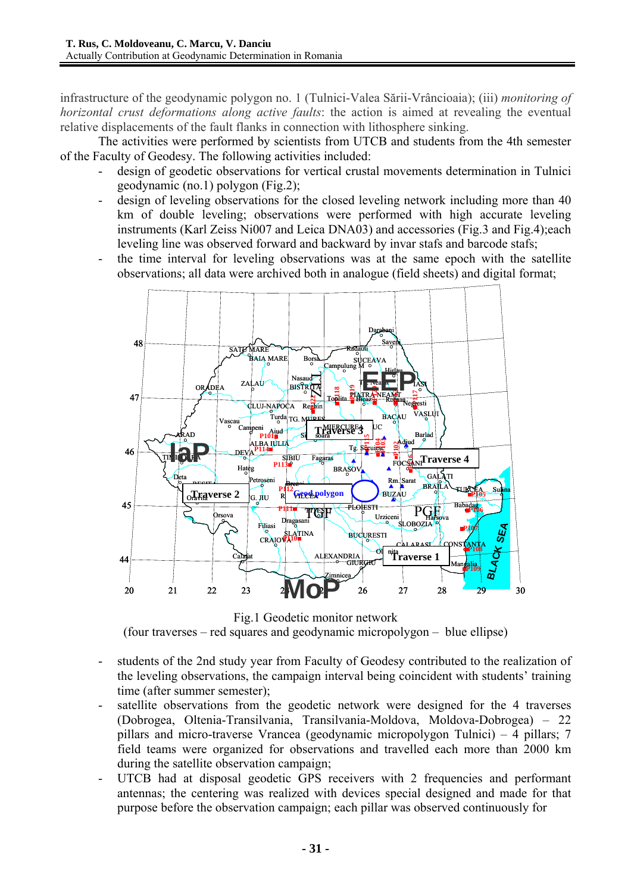infrastructure of the geodynamic polygon no. 1 (Tulnici-Valea Sării-Vrâncioaia); (iii) *monitoring of horizontal crust deformations along active faults*: the action is aimed at revealing the eventual relative displacements of the fault flanks in connection with lithosphere sinking.

The activities were performed by scientists from UTCB and students from the 4th semester of the Faculty of Geodesy. The following activities included:

- design of geodetic observations for vertical crustal movements determination in Tulnici geodynamic (no.1) polygon (Fig.2);
- design of leveling observations for the closed leveling network including more than 40 km of double leveling; observations were performed with high accurate leveling instruments (Karl Zeiss Ni007 and Leica DNA03) and accessories (Fig.3 and Fig.4);each leveling line was observed forward and backward by invar stafs and barcode stafs;
- the time interval for leveling observations was at the same epoch with the satellite observations; all data were archived both in analogue (field sheets) and digital format;



Fig.1 Geodetic monitor network (four traverses – red squares and geodynamic micropolygon – blue ellipse)

- students of the 2nd study year from Faculty of Geodesy contributed to the realization of the leveling observations, the campaign interval being coincident with students' training time (after summer semester);
- satellite observations from the geodetic network were designed for the 4 traverses (Dobrogea, Oltenia-Transilvania, Transilvania-Moldova, Moldova-Dobrogea) – 22 pillars and micro-traverse Vrancea (geodynamic micropolygon Tulnici) – 4 pillars; 7 field teams were organized for observations and travelled each more than 2000 km during the satellite observation campaign;
- UTCB had at disposal geodetic GPS receivers with 2 frequencies and performant antennas; the centering was realized with devices special designed and made for that purpose before the observation campaign; each pillar was observed continuously for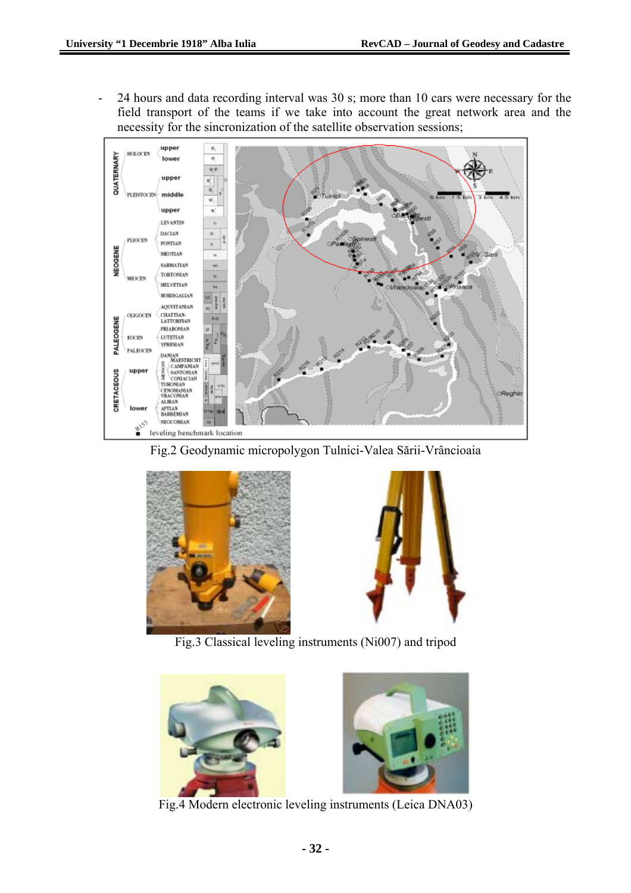- 24 hours and data recording interval was 30 s; more than 10 cars were necessary for the field transport of the teams if we take into account the great network area and the necessity for the sincronization of the satellite observation sessions;



Fig.2 Geodynamic micropolygon Tulnici-Valea Sării-Vrâncioaia





Fig.3 Classical leveling instruments (Ni007) and tripod



Fig.4 Modern electronic leveling instruments (Leica DNA03)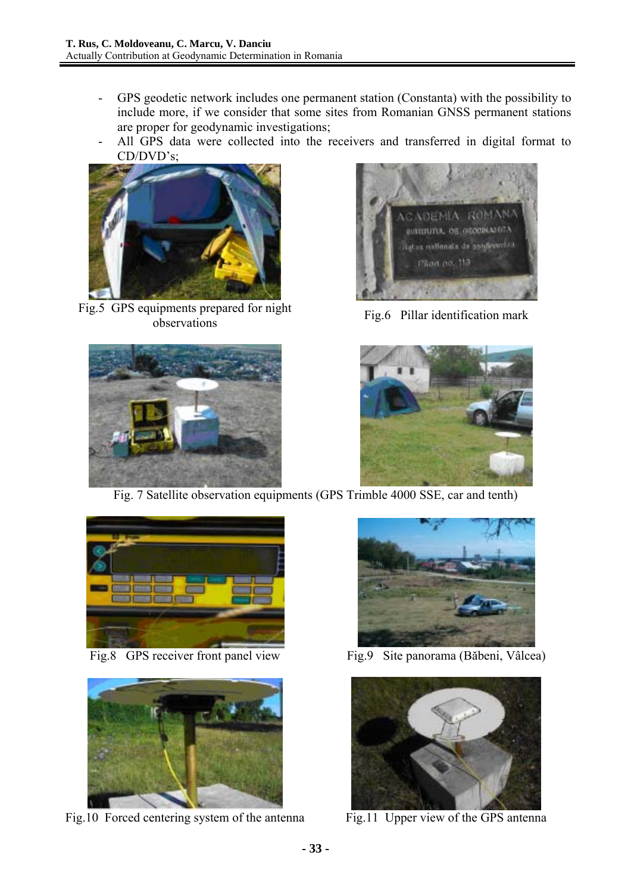- GPS geodetic network includes one permanent station (Constanta) with the possibility to include more, if we consider that some sites from Romanian GNSS permanent stations are proper for geodynamic investigations;
- All GPS data were collected into the receivers and transferred in digital format to CD/DVD's;



Fig.5 GPS equipments prepared for night applicities prepared for might<br>Fig.6 Pillar identification mark<br>observations







Fig. 7 Satellite observation equipments (GPS Trimble 4000 SSE, car and tenth)





Fig.10 Forced centering system of the antenna Fig.11 Upper view of the GPS antenna



Fig.8 GPS receiver front panel view Fig.9 Site panorama (Băbeni, Vâlcea)

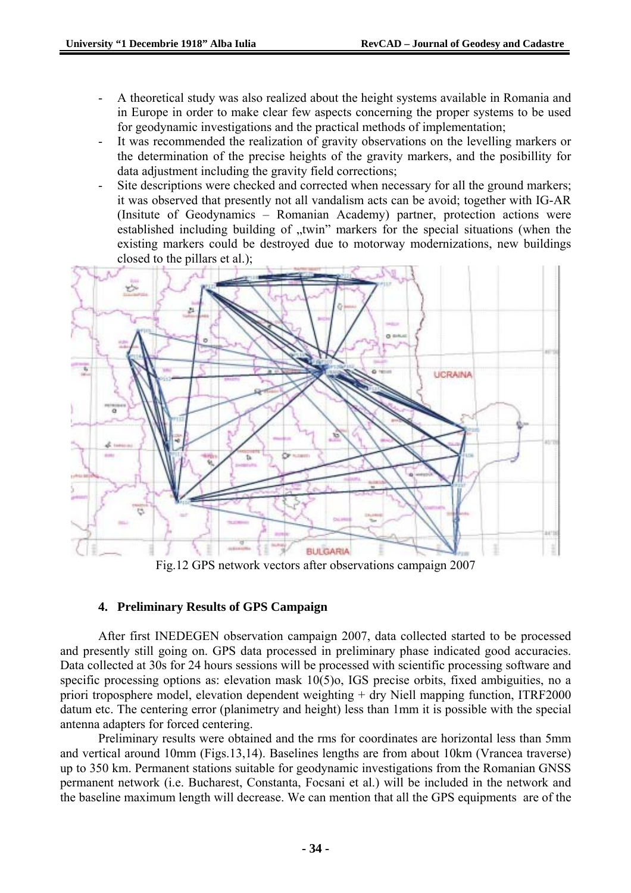- A theoretical study was also realized about the height systems available in Romania and in Europe in order to make clear few aspects concerning the proper systems to be used for geodynamic investigations and the practical methods of implementation;
- It was recommended the realization of gravity observations on the levelling markers or the determination of the precise heights of the gravity markers, and the posibillity for data adjustment including the gravity field corrections;
- Site descriptions were checked and corrected when necessary for all the ground markers; it was observed that presently not all vandalism acts can be avoid; together with IG-AR (Insitute of Geodynamics – Romanian Academy) partner, protection actions were established including building of "twin" markers for the special situations (when the existing markers could be destroyed due to motorway modernizations, new buildings closed to the pillars et al.);



Fig.12 GPS network vectors after observations campaign 2007

## **4. Preliminary Results of GPS Campaign**

After first INEDEGEN observation campaign 2007, data collected started to be processed and presently still going on. GPS data processed in preliminary phase indicated good accuracies. Data collected at 30s for 24 hours sessions will be processed with scientific processing software and specific processing options as: elevation mask 10(5)o, IGS precise orbits, fixed ambiguities, no a priori troposphere model, elevation dependent weighting + dry Niell mapping function, ITRF2000 datum etc. The centering error (planimetry and height) less than 1mm it is possible with the special antenna adapters for forced centering.

Preliminary results were obtained and the rms for coordinates are horizontal less than 5mm and vertical around 10mm (Figs.13,14). Baselines lengths are from about 10km (Vrancea traverse) up to 350 km. Permanent stations suitable for geodynamic investigations from the Romanian GNSS permanent network (i.e. Bucharest, Constanta, Focsani et al.) will be included in the network and the baseline maximum length will decrease. We can mention that all the GPS equipments are of the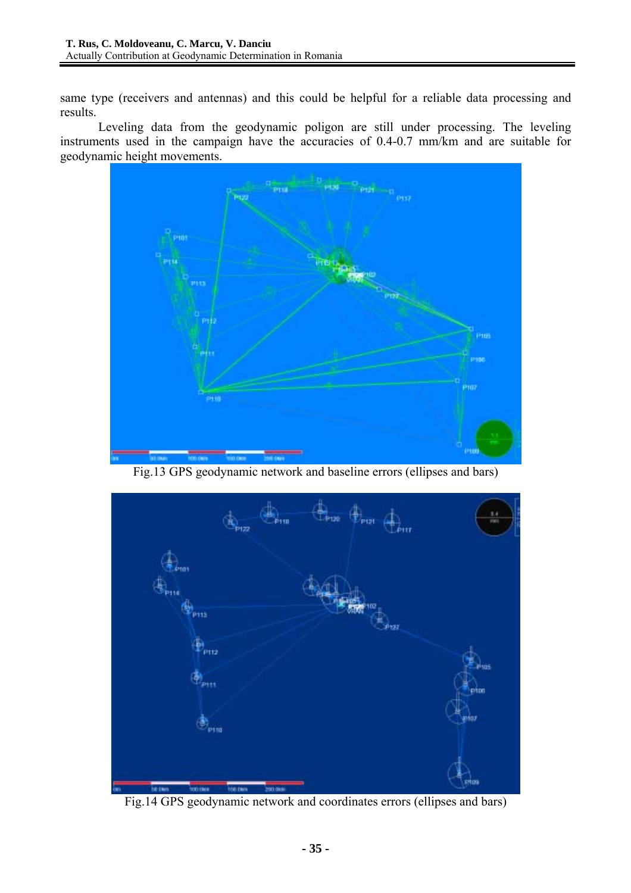same type (receivers and antennas) and this could be helpful for a reliable data processing and results.

Leveling data from the geodynamic poligon are still under processing. The leveling instruments used in the campaign have the accuracies of 0.4-0.7 mm/km and are suitable for geodynamic height movements.



Fig.13 GPS geodynamic network and baseline errors (ellipses and bars)



Fig.14 GPS geodynamic network and coordinates errors (ellipses and bars)